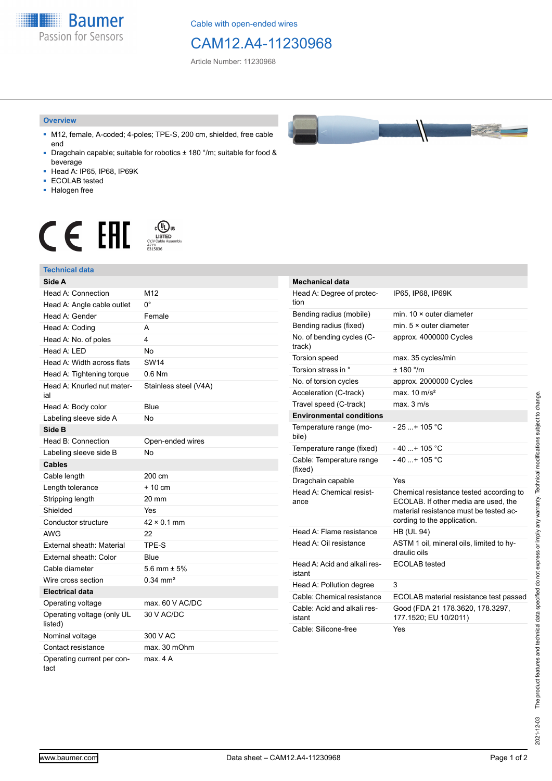**Baumer** Passion for Sensors

Cable with open-ended wires

## CAM12.A4-11230968

Article Number: 11230968

#### **Overview**

- M12, female, A-coded; 4-poles; TPE-S, 200 cm, shielded, free cable end
- Dragchain capable; suitable for robotics ± 180 °/m; suitable for food & beverage
- Head A: IP65, IP68, IP69K
- ECOLAB tested
- Halogen free

# $\displaystyle \mathop{\mathsf{C}}\limits_{\substack{\mathsf{C} \text{YJV Cable Asser}\ \text{47YY} \ \text{47YY}}} \mathop{\mathsf{LISTED}}\limits_{\substack{\mathsf{C} \text{47YY} \ \text{E}315836}}$ **CE EAL**

### **Technical data**

| Side A                                |                       |
|---------------------------------------|-----------------------|
| Head A: Connection                    | M <sub>12</sub>       |
| Head A: Angle cable outlet            | 0°                    |
| Head A: Gender                        | Female                |
| Head A: Coding                        | А                     |
| Head A: No. of poles                  | 4                     |
| Head A: LED                           | No                    |
| Head A: Width across flats            | <b>SW14</b>           |
| Head A: Tightening torque             | $0.6$ Nm              |
| Head A: Knurled nut mater-<br>ial     | Stainless steel (V4A) |
| Head A: Body color                    | Blue                  |
| Labeling sleeve side A                | No                    |
| Side B                                |                       |
| Head B: Connection                    | Open-ended wires      |
| Labeling sleeve side B                | No                    |
| <b>Cables</b>                         |                       |
| Cable length                          | 200 cm                |
| Length tolerance                      | $+10 \text{ cm}$      |
| Stripping length                      | 20 mm                 |
| Shielded                              | Yes                   |
| Conductor structure                   | $42 \times 0.1$ mm    |
| AWG                                   | 22                    |
| External sheath: Material             | TPE-S                 |
| External sheath: Color                | Blue                  |
| Cable diameter                        | 5.6 mm $\pm$ 5%       |
| Wire cross section                    | $0.34 \text{ mm}^2$   |
| <b>Electrical data</b>                |                       |
| Operating voltage                     | max. 60 V AC/DC       |
| Operating voltage (only UL<br>listed) | 30 V AC/DC            |
| Nominal voltage                       | 300 V AC              |
| Contact resistance                    | max. 30 mOhm          |
| Operating current per con-<br>tact    | max 4 A               |

| <b>Mechanical data</b>                 |                                                                                                                                                          |
|----------------------------------------|----------------------------------------------------------------------------------------------------------------------------------------------------------|
| Head A: Degree of protec-<br>tion      | IP65, IP68, IP69K                                                                                                                                        |
| Bending radius (mobile)                | min 10 x outer diameter                                                                                                                                  |
| Bending radius (fixed)                 | min. $5 \times$ outer diameter                                                                                                                           |
| No. of bending cycles (C-<br>track)    | approx. 4000000 Cycles                                                                                                                                   |
| Torsion speed                          | max. 35 cycles/min                                                                                                                                       |
| Torsion stress in °                    | $+ 180$ $\degree$ /m                                                                                                                                     |
| No. of torsion cycles                  | approx. 2000000 Cycles                                                                                                                                   |
| Acceleration (C-track)                 | max. $10 \text{ m/s}^2$                                                                                                                                  |
| Travel speed (C-track)                 | max. 3 m/s                                                                                                                                               |
| <b>Environmental conditions</b>        |                                                                                                                                                          |
| Temperature range (mo-<br>bile)        | $-25$ + 105 °C                                                                                                                                           |
| Temperature range (fixed)              | $-40+105 °C$                                                                                                                                             |
| Cable: Temperature range<br>(fixed)    | $-40+105 °C$                                                                                                                                             |
| Dragchain capable                      | Yes                                                                                                                                                      |
| Head A: Chemical resist-<br>ance       | Chemical resistance tested according to<br>ECOLAB. If other media are used, the<br>material resistance must be tested ac-<br>cording to the application. |
| Head A: Flame resistance               | <b>HB (UL 94)</b>                                                                                                                                        |
| Head A: Oil resistance                 | ASTM 1 oil, mineral oils, limited to hy-<br>draulic oils                                                                                                 |
| Head A: Acid and alkali res-<br>istant | ECOLAB tested                                                                                                                                            |
| Head A: Pollution degree               | 3                                                                                                                                                        |
| Cable: Chemical resistance             | ECOLAB material resistance test passed                                                                                                                   |
| Cable: Acid and alkali res-<br>istant  | Good (FDA 21 178.3620, 178.3297,<br>177.1520; EU 10/2011)                                                                                                |
| Cable: Silicone-free                   | Yes                                                                                                                                                      |